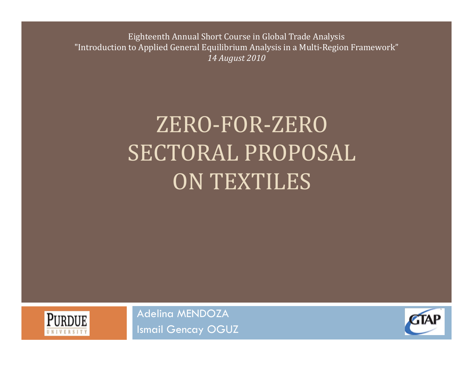Eighteenth Annual Short Course in Global Trade Analysis "Introduction to Applied General Equilibrium Analysis in a Multi-Region Framework" *14 August 2010*

# ZERO‐FOR‐ZERO SECTORAL PROPOSAL ON TEXTILES



Adelina MENDOZA Ismail Gencay OGUZ

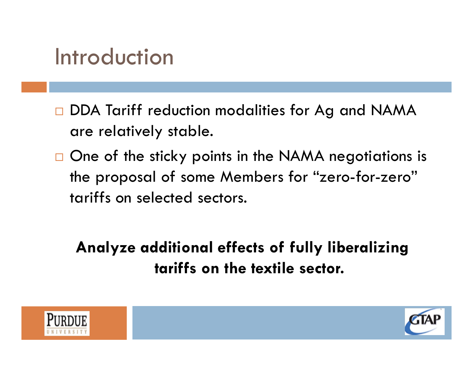#### Introduction

- □ DDA Tariff reduction modalities for Ag and NAMA are relatively stable.
- $\Box$  One of the sticky points in the NAMA negotiations is the proposal of some Members for "zero-for-zero" tariffs on selected sectors.

**Analyze additional effects of fully liberalizing tariffs on the textile sector.** 



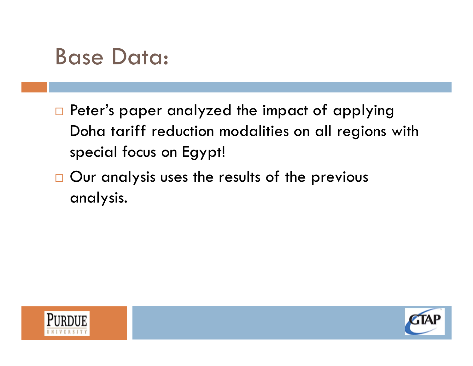#### Base Data:

- $\Box$  Peter's paper analyzed the impact of applying Doha tariff reduction modalities on all regions with special focus on Egypt!
- $\Box$  Our analysis uses the results of the previous analysis.



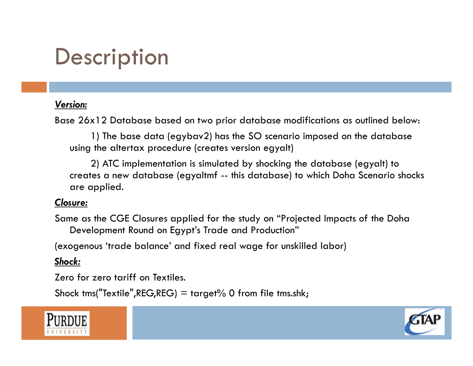## **Description**

#### *Version:*

Base 26x12 Database based on two prior database modifications as outlined below:

1) The base data (egybav2) has the SO scenario imposed on the database using the altertax procedure (creates version egyalt)

2) ATC implementation is simulated by shocking the database (egyalt) to creates a new database (egyaltmf -- this database) to which Doha Scenario shocks are applied.

#### *Closure:*

Same as the CGE Closures applied for the study on "Projected Impacts of the Doha Development Round on Egypt's Trade and Production"

(exogenous 'trade balance' and fixed real wage for unskilled labor)

#### *Shock:*

Zero for zero tariff on Textiles.

Shock tms("Textile", REG, REG) = target% 0 from file tms.shk;



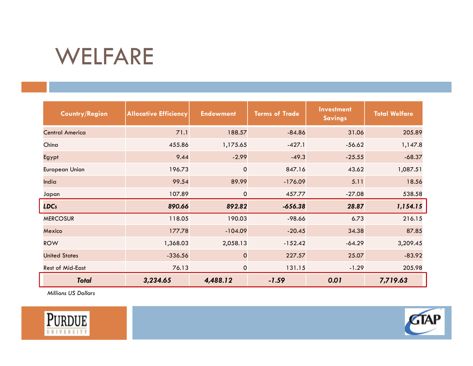### WELFARE

| <b>Country/Region</b>   | <b>Allocative Efficiency</b> | <b>Endowment</b> | <b>Terms of Trade</b> | <b>Investment</b><br><b>Savings</b> | <b>Total Welfare</b> |
|-------------------------|------------------------------|------------------|-----------------------|-------------------------------------|----------------------|
| <b>Central America</b>  | 71.1                         | 188.57           | $-84.86$              | 31.06                               | 205.89               |
| China                   | 455.86                       | 1,175.65         | $-427.1$              | $-56.62$                            | 1,147.8              |
| Egypt                   | 9.44                         | $-2.99$          | $-49.3$               | $-25.55$                            | $-68.37$             |
| European Union          | 196.73                       | $\mathbf 0$      | 847.16                | 43.62                               | 1,087.51             |
| India                   | 99.54                        | 89.99            | $-176.09$             | 5.11                                | 18.56                |
| Japan                   | 107.89                       | $\mathbf 0$      | 457.77                | $-27.08$                            | 538.58               |
| <b>LDCs</b>             | 890.66                       | 892.82           | $-656.38$             | 28.87                               | 1,154.15             |
| <b>MERCOSUR</b>         | 118.05                       | 190.03           | $-98.66$              | 6.73                                | 216.15               |
| Mexico                  | 177.78                       | $-104.09$        | $-20.45$              | 34.38                               | 87.85                |
| <b>ROW</b>              | 1,368.03                     | 2,058.13         | $-152.42$             | $-64.29$                            | 3,209.45             |
| <b>United States</b>    | $-336.56$                    | $\mathbf 0$      | 227.57                | 25.07                               | $-83.92$             |
| <b>Rest of Mid-East</b> | 76.13                        | $\mathbf 0$      | 131.15                | $-1.29$                             | 205.98               |
| <b>Total</b>            | 3,234.65                     | 4,488.12         | $-1.59$               | 0.01                                | 7,719.63             |

*Millions US Dollars*



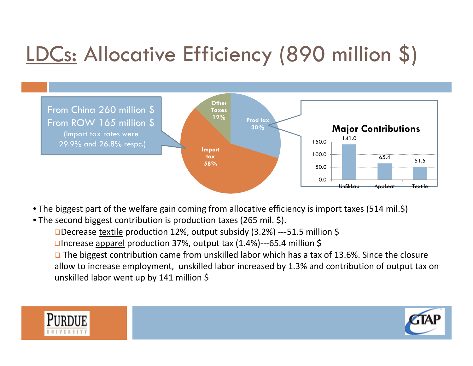## LDCs: Allocative Efficiency (890 million \$)



- The biggest part of the welfare gain coming from allocative efficiency is import taxes (514 mil.\$)
- The second biggest contribution is production taxes (265 mil. \$).
	- **□**Decrease textile production 12%, output subsidy (3.2%) ---51.5 million \$
	- **□**Increase <u>apparel</u> production 37%, output tax (1.4%)---65.4 million \$

**□** The biggest contribution came from unskilled labor which has a tax of 13.6%. Since the closure allow to increase employment, unskilled labor increased by 1.3% and contribution of output tax on unskilled labor went up by 141 million \$

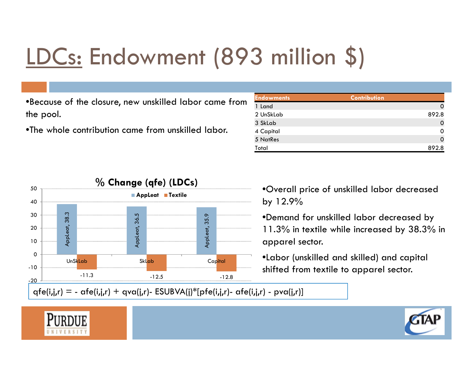# LDCs: Endowment (893 million \$)

•Because of the closure, new unskilled labor came from the pool.

•The whole contribution came from unskilled labor.

| <b>Endowments</b> | <b>Contribution</b> |
|-------------------|---------------------|
| 1 Land            |                     |
| 2 UnSkLab         | 892.8               |
| 3 SkLab           |                     |
| 4 Capital         |                     |
| 5 NatRes          |                     |
| Total             | 892.8               |



•Overall price of unskilled labor decreased by 12.9%

•Demand for unskilled labor decreased by 11.3% in textile while increased by 38.3% in apparel sector.

•Labor (unskilled and skilled) and capital shifted from textile to apparel sector.

 $qfe(i,j,r) = - \alpha fe(i,j,r) + qva(j,r) - ESUBVA(i)*[pfe(i,j,r) - \alpha fe(i,j,r) - pva(j,r)]$ 

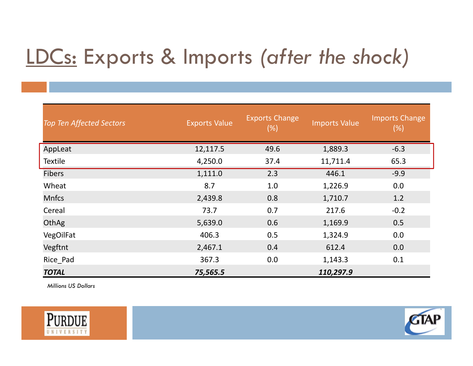## LDCs: Exports & Imports *(after the shock)*

| <b>Top Ten Affected Sectors</b> | <b>Exports Value</b> | <b>Exports Change</b><br>$(\%)$ | <b>Imports Value</b> | <b>Imports Change</b><br>(%) |
|---------------------------------|----------------------|---------------------------------|----------------------|------------------------------|
| AppLeat                         | 12,117.5             | 49.6                            | 1,889.3              | $-6.3$                       |
| <b>Textile</b>                  | 4,250.0              | 37.4                            | 11,711.4             | 65.3                         |
| <b>Fibers</b>                   | 1,111.0              | 2.3                             | 446.1                | $-9.9$                       |
| Wheat                           | 8.7                  | 1.0                             | 1,226.9              | 0.0                          |
| <b>Mnfcs</b>                    | 2,439.8              | 0.8                             | 1,710.7              | 1.2                          |
| Cereal                          | 73.7                 | 0.7                             | 217.6                | $-0.2$                       |
| OthAg                           | 5,639.0              | 0.6                             | 1,169.9              | 0.5                          |
| VegOilFat                       | 406.3                | 0.5                             | 1,324.9              | 0.0                          |
| Vegftnt                         | 2,467.1              | 0.4                             | 612.4                | 0.0                          |
| Rice Pad                        | 367.3                | 0.0                             | 1,143.3              | 0.1                          |
| <b>TOTAL</b>                    | 75,565.5             |                                 | 110,297.9            |                              |

*Millions US Dollars*



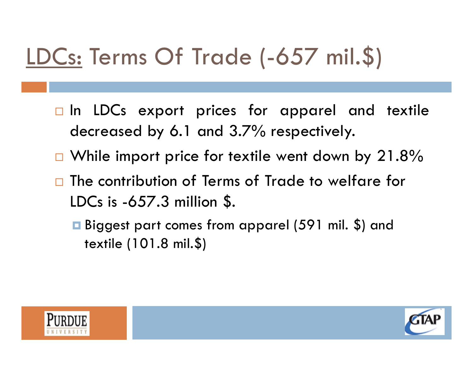# LDCs: Terms Of Trade (-657 mil.\$)

- $\Box$  In LDCs export prices for apparel and textile decreased by 6.1 and 3.7% respectively.
- $\Box$  While import price for textile went down by 21.8%
- $\Box$  The contribution of Terms of Trade to welfare for LDCs is -657.3 million \$.
	- Biggest part comes from apparel (591 mil. \$) and textile (101.8 mil.\$)



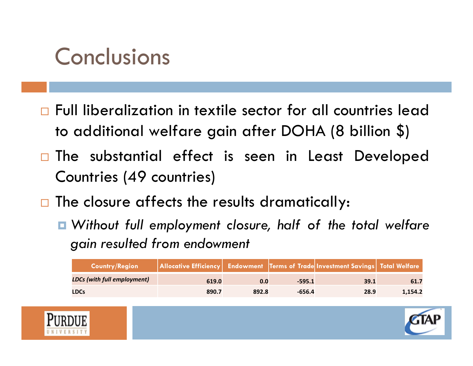### Conclusions

- Full liberalization in textile sector for all countries lead to additional welfare gain after DOHA (8 billion \$)
- $\Box$  The substantial effect is seen in Least Developed Countries (49 countries)
- $\Box$  The closure affects the results dramatically:
	- *Without full employment closure, half of the total welfare gain resulted from endowment*

| <b>Country/Region</b>              | Allocative Efficiency   Endowment   Terms of Trade Investment Savings   Total Welfare |       |          |      |         |
|------------------------------------|---------------------------------------------------------------------------------------|-------|----------|------|---------|
| <b>LDCs (with full employment)</b> | 619.0                                                                                 | 0.0   | $-595.1$ | 39.1 | 61.7    |
| <b>LDCs</b>                        | 890.7                                                                                 | 892.8 | -656.4   | 28.9 | 1.154.2 |